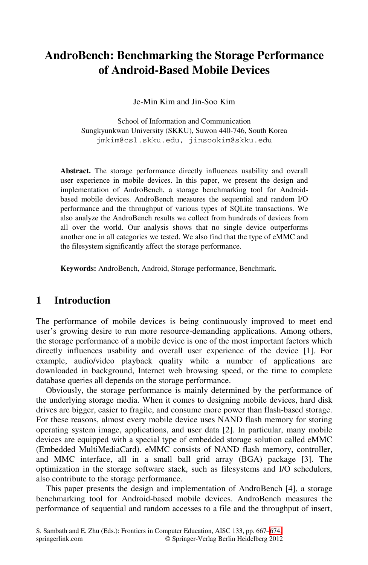# **AndroBench: Benchmarking the Storage Performance of Android-Based Mobile Devices**

Je-Min Kim and Jin-Soo Kim

School of Information and Communication Sungkyunkwan University (SKKU), Suwon 440-746, South Korea jmkim@csl.skku.edu, jinsookim@skku.edu

**Abstract.** The storage performance directly influences usability and overall user experience in mobile devices. In this paper, we present the design and implementation of AndroBench, a storage benchmarking tool for Androidbased mobile devices. AndroBench measures the sequential and random I/O performance and the throughput of various types of SQLite transactions. We also analyze the AndroBench results we collect from hundreds of devices from all over the world. Our analysis shows that no single device outperforms another one in all categories we tested. We also find that the type of eMMC and the filesystem significantly affect the storage performance.

**Keywords:** AndroBench, Android, Storage performance, Benchmark.

## **1 Introduction**

The performance of mobile devices is being continuously improved to meet end user's growing desire to run more resource-demanding applications. Among others, the storage performance of a mobile device is one of the most important factors which directly influences usability and overall user experience of the device [1]. For example, audio/video playback quality while a number of applications are downloaded in background, Internet web browsing speed, or the time to complete database queries all depends on the storage performance.

Obviously, the storage performance is mainly determined by the performance of the underlying storage media. When it comes to designing mobile devices, hard disk drives are bigger, easier to fragile, and consume more power than flash-based storage. For these reasons, almost every mobile device uses NAND flash memory for storing operating system image, applications, and user data [2]. In particular, many mobile devices are equipped with a special type of embedded storage solution called eMMC (Embedded MultiMediaCard). eMMC consists of NAND flash memory, controller, and MMC interface, all in a small ball grid array (BGA) package [3]. The optimization in the storage software stack, such as filesystems and I/O schedulers, also contribute to the storage performance.

This paper presents the design and implementation of AndroBench [4], a storage benchmarking tool for Android-based mobile devices. AndroBench measures the performance of sequential and random accesses to a file and the throughput of insert,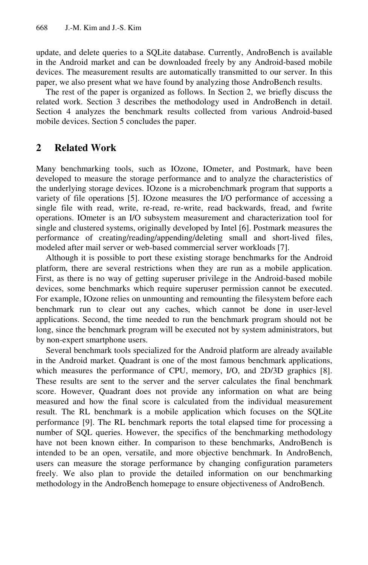update, and delete queries to a SQLite database. Currently, AndroBench is available in the Android market and can be downloaded freely by any Android-based mobile devices. The measurement results are automatically transmitted to our server. In this paper, we also present what we have found by analyzing those AndroBench results.

The rest of the paper is organized as follows. In Section 2, we briefly discuss the related work. Section 3 describes the methodology used in AndroBench in detail. Section 4 analyzes the benchmark results collected from various Android-based mobile devices. Section 5 concludes the paper.

## **2 Related Work**

Many benchmarking tools, such as IOzone, IOmeter, and Postmark, have been developed to measure the storage performance and to analyze the characteristics of the underlying storage devices. IOzone is a microbenchmark program that supports a variety of file operations [5]. IOzone measures the I/O performance of accessing a single file with read, write, re-read, re-write, read backwards, fread, and fwrite operations. IOmeter is an I/O subsystem measurement and characterization tool for single and clustered systems, originally developed by Intel [6]. Postmark measures the performance of creating/reading/appending/deleting small and short-lived files, modeled after mail server or web-based commercial server workloads [7].

Although it is possible to port these existing storage benchmarks for the Android platform, there are several restrictions when they are run as a mobile application. First, as there is no way of getting superuser privilege in the Android-based mobile devices, some benchmarks which require superuser permission cannot be executed. For example, IOzone relies on unmounting and remounting the filesystem before each benchmark run to clear out any caches, which cannot be done in user-level applications. Second, the time needed to run the benchmark program should not be long, since the benchmark program will be executed not by system administrators, but by non-expert smartphone users.

Several benchmark tools specialized for the Android platform are already available in the Android market. Quadrant is one of the most famous benchmark applications, which measures the performance of CPU, memory, I/O, and 2D/3D graphics [8]. These results are sent to the server and the server calculates the final benchmark score. However, Quadrant does not provide any information on what are being measured and how the final score is calculated from the individual measurement result. The RL benchmark is a mobile application which focuses on the SQLite performance [9]. The RL benchmark reports the total elapsed time for processing a number of SQL queries. However, the specifics of the benchmarking methodology have not been known either. In comparison to these benchmarks, AndroBench is intended to be an open, versatile, and more objective benchmark. In AndroBench, users can measure the storage performance by changing configuration parameters freely. We also plan to provide the detailed information on our benchmarking methodology in the AndroBench homepage to ensure objectiveness of AndroBench.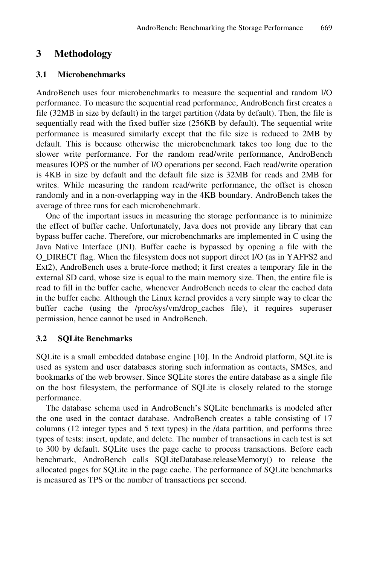# **3 Methodology**

#### **3.1 Microbenchmarks**

AndroBench uses four microbenchmarks to measure the sequential and random I/O performance. To measure the sequential read performance, AndroBench first creates a file (32MB in size by default) in the target partition (/data by default). Then, the file is sequentially read with the fixed buffer size (256KB by default). The sequential write performance is measured similarly except that the file size is reduced to 2MB by default. This is because otherwise the microbenchmark takes too long due to the slower write performance. For the random read/write performance, AndroBench measures IOPS or the number of I/O operations per second. Each read/write operation is 4KB in size by default and the default file size is 32MB for reads and 2MB for writes. While measuring the random read/write performance, the offset is chosen randomly and in a non-overlapping way in the 4KB boundary. AndroBench takes the average of three runs for each microbenchmark.

One of the important issues in measuring the storage performance is to minimize the effect of buffer cache. Unfortunately, Java does not provide any library that can bypass buffer cache. Therefore, our microbenchmarks are implemented in C using the Java Native Interface (JNI). Buffer cache is bypassed by opening a file with the O\_DIRECT flag. When the filesystem does not support direct I/O (as in YAFFS2 and Ext2), AndroBench uses a brute-force method; it first creates a temporary file in the external SD card, whose size is equal to the main memory size. Then, the entire file is read to fill in the buffer cache, whenever AndroBench needs to clear the cached data in the buffer cache. Although the Linux kernel provides a very simple way to clear the buffer cache (using the /proc/sys/vm/drop\_caches file), it requires superuser permission, hence cannot be used in AndroBench.

#### **3.2 SQLite Benchmarks**

SQLite is a small embedded database engine [10]. In the Android platform, SQLite is used as system and user databases storing such information as contacts, SMSes, and bookmarks of the web browser. Since SQLite stores the entire database as a single file on the host filesystem, the performance of SQLite is closely related to the storage performance.

The database schema used in AndroBench's SQLite benchmarks is modeled after the one used in the contact database. AndroBench creates a table consisting of 17 columns (12 integer types and 5 text types) in the /data partition, and performs three types of tests: insert, update, and delete. The number of transactions in each test is set to 300 by default. SQLite uses the page cache to process transactions. Before each benchmark, AndroBench calls SQLiteDatabase.releaseMemory() to release the allocated pages for SQLite in the page cache. The performance of SQLite benchmarks is measured as TPS or the number of transactions per second.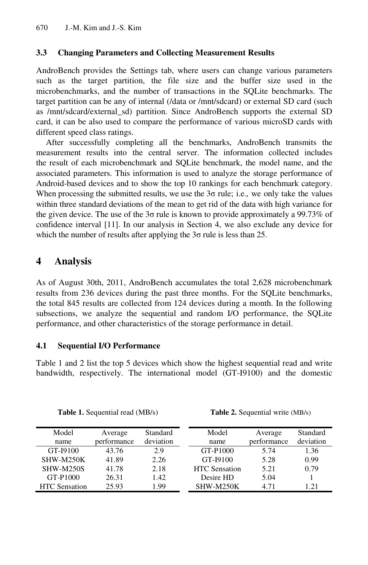## **3.3 Changing Parameters and Collecting Measurement Results**

AndroBench provides the Settings tab, where users can change various parameters such as the target partition, the file size and the buffer size used in the microbenchmarks, and the number of transactions in the SQLite benchmarks. The target partition can be any of internal (/data or /mnt/sdcard) or external SD card (such as /mnt/sdcard/external\_sd) partition. Since AndroBench supports the external SD card, it can be also used to compare the performance of various microSD cards with different speed class ratings.

After successfully completing all the benchmarks, AndroBench transmits the measurement results into the central server. The information collected includes the result of each microbenchmark and SQLite benchmark, the model name, and the associated parameters. This information is used to analyze the storage performance of Android-based devices and to show the top 10 rankings for each benchmark category. When processing the submitted results, we use the  $3\sigma$  rule; i.e., we only take the values within three standard deviations of the mean to get rid of the data with high variance for the given device. The use of the  $3\sigma$  rule is known to provide approximately a 99.73% of confidence interval [11]. In our analysis in Section 4, we also exclude any device for which the number of results after applying the  $3\sigma$  rule is less than 25.

# **4 Analysis**

As of August 30th, 2011, AndroBench accumulates the total 2,628 microbenchmark results from 236 devices during the past three months. For the SQLite benchmarks, the total 845 results are collected from 124 devices during a month. In the following subsections, we analyze the sequential and random I/O performance, the SQLite performance, and other characteristics of the storage performance in detail.

## **4.1 Sequential I/O Performance**

Table 1 and 2 list the top 5 devices which show the highest sequential read and write bandwidth, respectively. The international model (GT-I9100) and the domestic

| Model<br>name        | Average<br>performance | Standard<br>deviation | Model<br>name        | Average<br>performance | Standard<br>deviation |
|----------------------|------------------------|-----------------------|----------------------|------------------------|-----------------------|
| GT-19100             | 43.76                  | 2.9                   | GT-P1000             | 5.74                   | 1.36                  |
| <b>SHW-M250K</b>     | 41.89                  | 2.26                  | GT-I9100             | 5.28                   | 0.99                  |
| <b>SHW-M250S</b>     | 41.78                  | 2.18                  | <b>HTC</b> Sensation | 5.21                   | 0.79                  |
| GT-P1000             | 26.31                  | 1.42                  | Desire HD            | 5.04                   |                       |
| <b>HTC</b> Sensation | 25.93                  | 1.99                  | <b>SHW-M250K</b>     | 4.71                   | 1.21                  |

**Table 1.** Sequential read (MB/s) **Table 2.** Sequential write (MB/s)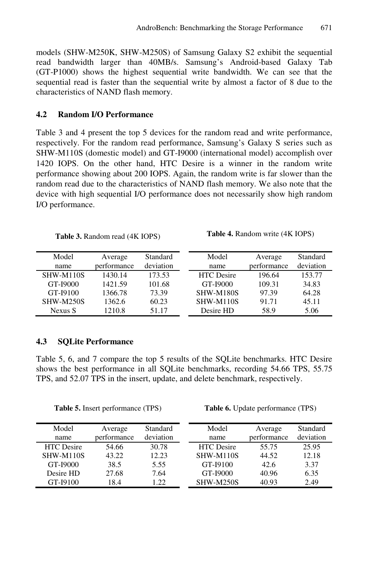models (SHW-M250K, SHW-M250S) of Samsung Galaxy S2 exhibit the sequential read bandwidth larger than 40MB/s. Samsung's Android-based Galaxy Tab (GT-P1000) shows the highest sequential write bandwidth. We can see that the sequential read is faster than the sequential write by almost a factor of 8 due to the characteristics of NAND flash memory.

## **4.2 Random I/O Performance**

Table 3 and 4 present the top 5 devices for the random read and write performance, respectively. For the random read performance, Samsung's Galaxy S series such as SHW-M110S (domestic model) and GT-I9000 (international model) accomplish over 1420 IOPS. On the other hand, HTC Desire is a winner in the random write performance showing about 200 IOPS. Again, the random write is far slower than the random read due to the characteristics of NAND flash memory. We also note that the device with high sequential I/O performance does not necessarily show high random I/O performance.

|  | <b>Table 3.</b> Random read (4K IOPS) |  |  |
|--|---------------------------------------|--|--|
|--|---------------------------------------|--|--|

**Table 4.** Random write (4K IOPS)

| Model            | Average     | Standard  | Model             | Average     | Standard  |
|------------------|-------------|-----------|-------------------|-------------|-----------|
| name             | performance | deviation | name              | performance | deviation |
| <b>SHW-M110S</b> | 1430.14     | 173.53    | <b>HTC</b> Desire | 196.64      | 153.77    |
| GT-19000         | 1421.59     | 101.68    | GT-19000          | 109.31      | 34.83     |
| GT-19100         | 1366.78     | 73.39     | <b>SHW-M180S</b>  | 97.39       | 64.28     |
| <b>SHW-M250S</b> | 1362.6      | 60.23     | <b>SHW-M110S</b>  | 91.71       | 45.11     |
| Nexus S          | 1210.8      | 51.17     | Desire HD         | 58.9        | 5.06      |

## **4.3 SQLite Performance**

Table 5, 6, and 7 compare the top 5 results of the SQLite benchmarks. HTC Desire shows the best performance in all SQLite benchmarks, recording 54.66 TPS, 55.75 TPS, and 52.07 TPS in the insert, update, and delete benchmark, respectively.

|  |  | Table 5. Insert performance (TPS) |  |
|--|--|-----------------------------------|--|
|--|--|-----------------------------------|--|

**Table 6.** Update performance (TPS)

| Model<br>name     | Average<br>performance | Standard<br>deviation | Model<br>name     | Average<br>performance | Standard<br>deviation |
|-------------------|------------------------|-----------------------|-------------------|------------------------|-----------------------|
| <b>HTC</b> Desire | 54.66                  | 30.78                 | <b>HTC</b> Desire | 55.75                  | 25.95                 |
| <b>SHW-M110S</b>  | 43.22                  | 12.23                 | <b>SHW-M110S</b>  | 44.52                  | 12.18                 |
| GT-I9000          | 38.5                   | 5.55                  | GT-I9100          | 42.6                   | 3.37                  |
| Desire HD         | 27.68                  | 7.64                  | GT-I9000          | 40.96                  | 6.35                  |
| GT-19100          | 18.4                   | 1.22                  | <b>SHW-M250S</b>  | 40.93                  | 2.49                  |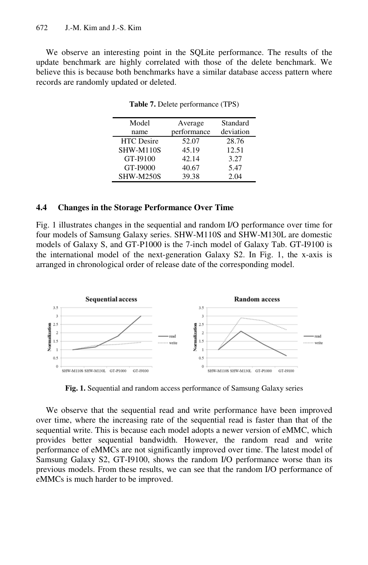We observe an interesting point in the SQLite performance. The results of the update benchmark are highly correlated with those of the delete benchmark. We believe this is because both benchmarks have a similar database access pattern where records are randomly updated or deleted.

| Model             | Average     | Standard  |  |
|-------------------|-------------|-----------|--|
| name              | performance | deviation |  |
| <b>HTC</b> Desire | 52.07       | 28.76     |  |
| <b>SHW-M110S</b>  | 45.19       | 12.51     |  |
| GT-I9100          | 42.14       | 3.27      |  |
| GT-I9000          | 40.67       | 5.47      |  |
| <b>SHW-M250S</b>  | 39.38       | 2.04      |  |

**Table 7.** Delete performance (TPS)

### **4.4 Changes in the Storage Performance Over Time**

Fig. 1 illustrates changes in the sequential and random I/O performance over time for four models of Samsung Galaxy series. SHW-M110S and SHW-M130L are domestic models of Galaxy S, and GT-P1000 is the 7-inch model of Galaxy Tab. GT-I9100 is the international model of the next-generation Galaxy S2. In Fig. 1, the x-axis is arranged in chronological order of release date of the corresponding model.



**Fig. 1.** Sequential and random access performance of Samsung Galaxy series

We observe that the sequential read and write performance have been improved over time, where the increasing rate of the sequential read is faster than that of the sequential write. This is because each model adopts a newer version of eMMC, which provides better sequential bandwidth. However, the random read and write performance of eMMCs are not significantly improved over time. The latest model of Samsung Galaxy S2, GT-I9100, shows the random I/O performance worse than its previous models. From these results, we can see that the random I/O performance of eMMCs is much harder to be improved.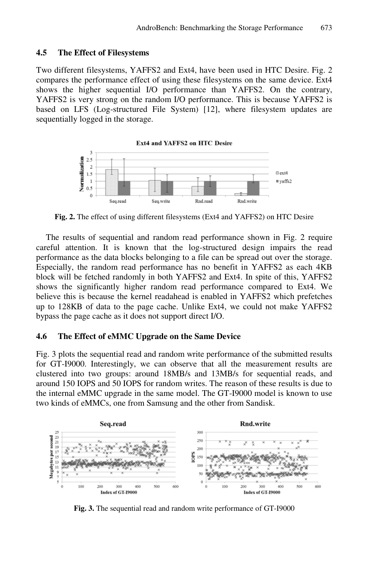#### **4.5 The Effect of Filesystems**

Two different filesystems, YAFFS2 and Ext4, have been used in HTC Desire. Fig. 2 compares the performance effect of using these filesystems on the same device. Ext4 shows the higher sequential I/O performance than YAFFS2. On the contrary, YAFFS2 is very strong on the random I/O performance. This is because YAFFS2 is based on LFS (Log-structured File System) [12], where filesystem updates are sequentially logged in the storage.



**Fig. 2.** The effect of using different filesystems (Ext4 and YAFFS2) on HTC Desire

The results of sequential and random read performance shown in Fig. 2 require careful attention. It is known that the log-structured design impairs the read performance as the data blocks belonging to a file can be spread out over the storage. Especially, the random read performance has no benefit in YAFFS2 as each 4KB block will be fetched randomly in both YAFFS2 and Ext4. In spite of this, YAFFS2 shows the significantly higher random read performance compared to Ext4. We believe this is because the kernel readahead is enabled in YAFFS2 which prefetches up to 128KB of data to the page cache. Unlike Ext4, we could not make YAFFS2 bypass the page cache as it does not support direct I/O.

#### **4.6 The Effect of eMMC Upgrade on the Same Device**

Fig. 3 plots the sequential read and random write performance of the submitted results for GT-I9000. Interestingly, we can observe that all the measurement results are clustered into two groups: around 18MB/s and 13MB/s for sequential reads, and around 150 IOPS and 50 IOPS for random writes. The reason of these results is due to the internal eMMC upgrade in the same model. The GT-I9000 model is known to use two kinds of eMMCs, one from Samsung and the other from Sandisk.



**Fig. 3.** The sequential read and random write performance of GT-I9000